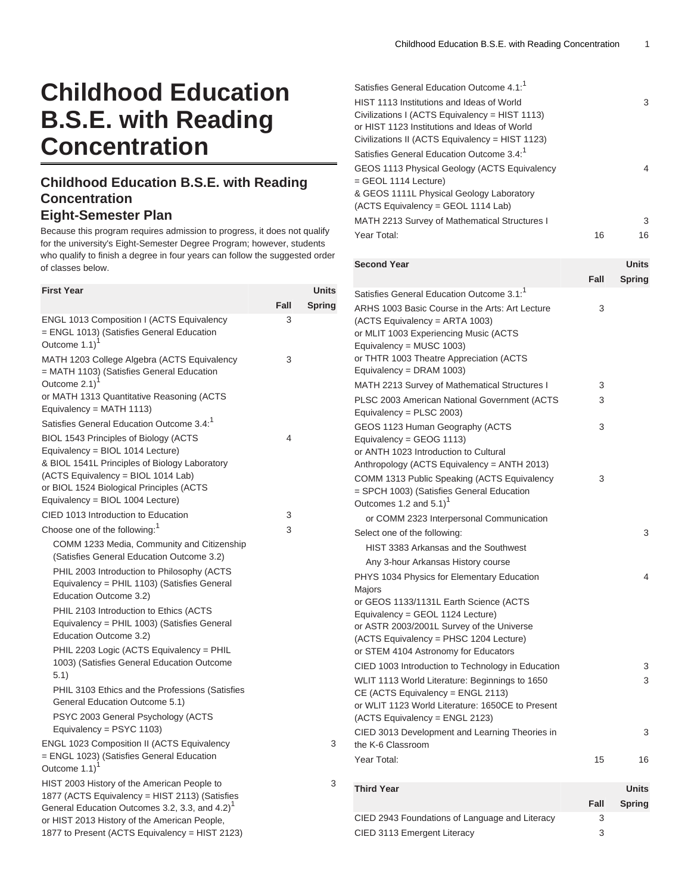## **Childhood Education B.S.E. with Reading Concentration**

## **Childhood Education B.S.E. with Reading Concentration Eight-Semester Plan**

Because this program requires admission to progress, it does not qualify for the university's Eight-Semester Degree Program; however, students who qualify to finish a degree in four years can follow the suggested order of classes below.

| <b>First Year</b>                                                                                                                                                                                                                                                                                                                                                                                                                                                                                                                                                                          |      | Units         |
|--------------------------------------------------------------------------------------------------------------------------------------------------------------------------------------------------------------------------------------------------------------------------------------------------------------------------------------------------------------------------------------------------------------------------------------------------------------------------------------------------------------------------------------------------------------------------------------------|------|---------------|
|                                                                                                                                                                                                                                                                                                                                                                                                                                                                                                                                                                                            | Fall | <b>Spring</b> |
| <b>ENGL 1013 Composition I (ACTS Equivalency</b><br>= ENGL 1013) (Satisfies General Education<br>Outcome 1.1)                                                                                                                                                                                                                                                                                                                                                                                                                                                                              | 3    |               |
| MATH 1203 College Algebra (ACTS Equivalency<br>= MATH 1103) (Satisfies General Education<br>Outcome 2.1)<br>or MATH 1313 Quantitative Reasoning (ACTS                                                                                                                                                                                                                                                                                                                                                                                                                                      | 3    |               |
| Equivalency = MATH 1113)                                                                                                                                                                                                                                                                                                                                                                                                                                                                                                                                                                   |      |               |
| Satisfies General Education Outcome 3.4: <sup>1</sup><br>BIOL 1543 Principles of Biology (ACTS<br>Equivalency = BIOL 1014 Lecture)<br>& BIOL 1541L Principles of Biology Laboratory<br>(ACTS Equivalency = BIOL 1014 Lab)<br>or BIOL 1524 Biological Principles (ACTS<br>Equivalency = BIOL 1004 Lecture)                                                                                                                                                                                                                                                                                  | 4    |               |
| CIED 1013 Introduction to Education                                                                                                                                                                                                                                                                                                                                                                                                                                                                                                                                                        | 3    |               |
| Choose one of the following: <sup>1</sup>                                                                                                                                                                                                                                                                                                                                                                                                                                                                                                                                                  | 3    |               |
| COMM 1233 Media, Community and Citizenship<br>(Satisfies General Education Outcome 3.2)<br>PHIL 2003 Introduction to Philosophy (ACTS<br>Equivalency = PHIL 1103) (Satisfies General<br>Education Outcome 3.2)<br>PHIL 2103 Introduction to Ethics (ACTS<br>Equivalency = PHIL 1003) (Satisfies General<br>Education Outcome 3.2)<br>PHIL 2203 Logic (ACTS Equivalency = PHIL<br>1003) (Satisfies General Education Outcome<br>5.1)<br>PHIL 3103 Ethics and the Professions (Satisfies<br>General Education Outcome 5.1)<br>PSYC 2003 General Psychology (ACTS<br>Equivalency = PSYC 1103) |      |               |
| <b>ENGL 1023 Composition II (ACTS Equivalency</b><br>= ENGL 1023) (Satisfies General Education<br>Outcome 1.1) <sup>1</sup>                                                                                                                                                                                                                                                                                                                                                                                                                                                                |      | 3             |
| HIST 2003 History of the American People to<br>1877 (ACTS Equivalency = HIST 2113) (Satisfies<br>General Education Outcomes 3.2, 3.3, and 4.2) <sup>1</sup><br>or HIST 2013 History of the American People,                                                                                                                                                                                                                                                                                                                                                                                |      | 3             |

1877 to Present (ACTS Equivalency = HIST 2123)

| Satisfies General Education Outcome $4.1$ : <sup>1</sup><br>HIST 1113 Institutions and Ideas of World<br>Civilizations I (ACTS Equivalency = HIST 1113)<br>or HIST 1123 Institutions and Ideas of World<br>Civilizations II (ACTS Equivalency = HIST 1123) |      | 3              |
|------------------------------------------------------------------------------------------------------------------------------------------------------------------------------------------------------------------------------------------------------------|------|----------------|
| Satisfies General Education Outcome 3.4: <sup>1</sup>                                                                                                                                                                                                      |      |                |
| GEOS 1113 Physical Geology (ACTS Equivalency<br>= GEOL 1114 Lecture)<br>& GEOS 1111L Physical Geology Laboratory<br>(ACTS Equivalency = GEOL 1114 Lab)                                                                                                     |      | $\overline{4}$ |
| MATH 2213 Survey of Mathematical Structures I                                                                                                                                                                                                              |      | 3              |
| Year Total:                                                                                                                                                                                                                                                | 16   | 16             |
| <b>Second Year</b>                                                                                                                                                                                                                                         |      | <b>Units</b>   |
|                                                                                                                                                                                                                                                            | Fall | <b>Spring</b>  |
| Satisfies General Education Outcome 3.1: <sup>1</sup>                                                                                                                                                                                                      |      |                |
| ARHS 1003 Basic Course in the Arts: Art Lecture<br>(ACTS Equivalency = ARTA 1003)<br>or MLIT 1003 Experiencing Music (ACTS<br>Equivalency = MUSC 1003)<br>or THTR 1003 Theatre Appreciation (ACTS<br>Equivalency = DRAM 1003)                              | 3    |                |
| MATH 2213 Survey of Mathematical Structures I                                                                                                                                                                                                              | 3    |                |
| PLSC 2003 American National Government (ACTS<br>Equivalency = PLSC 2003)                                                                                                                                                                                   | 3    |                |
| GEOS 1123 Human Geography (ACTS<br>Equivalency = GEOG 1113)<br>or ANTH 1023 Introduction to Cultural<br>Anthropology (ACTS Equivalency = ANTH 2013)                                                                                                        | 3    |                |

| or ANTH 1023 Introduction to Cultural<br>Anthropology (ACTS Equivalency = ANTH 2013)                                            |    |              |
|---------------------------------------------------------------------------------------------------------------------------------|----|--------------|
| COMM 1313 Public Speaking (ACTS Equivalency<br>= SPCH 1003) (Satisfies General Education<br>Outcomes 1.2 and $5.1$ <sup>1</sup> | 3  |              |
| or COMM 2323 Interpersonal Communication                                                                                        |    |              |
| Select one of the following:                                                                                                    |    | 3            |
| HIST 3383 Arkansas and the Southwest                                                                                            |    |              |
| Any 3-hour Arkansas History course                                                                                              |    |              |
| PHYS 1034 Physics for Elementary Education                                                                                      |    | 4            |
| Majors                                                                                                                          |    |              |
| or GEOS 1133/1131L Earth Science (ACTS                                                                                          |    |              |
| Equivalency = GEOL 1124 Lecture)                                                                                                |    |              |
| or ASTR 2003/2001L Survey of the Universe                                                                                       |    |              |
| (ACTS Equivalency = PHSC 1204 Lecture)                                                                                          |    |              |
| or STEM 4104 Astronomy for Educators                                                                                            |    |              |
| CIED 1003 Introduction to Technology in Education                                                                               |    | 3            |
| WLIT 1113 World Literature: Beginnings to 1650                                                                                  |    | 3            |
| CE (ACTS Equivalency = ENGL 2113)                                                                                               |    |              |
| or WLIT 1123 World Literature: 1650CE to Present                                                                                |    |              |
| (ACTS Equivalency = ENGL 2123)                                                                                                  |    |              |
| CIED 3013 Development and Learning Theories in                                                                                  |    | 3            |
| the K-6 Classroom                                                                                                               |    |              |
| Year Total:                                                                                                                     | 15 | 16           |
|                                                                                                                                 |    |              |
| <b>Third Year</b>                                                                                                               |    | <b>Units</b> |

| THILL TEAL                                     |      | UIIILS        |
|------------------------------------------------|------|---------------|
|                                                | Fall | <b>Spring</b> |
| CIED 2943 Foundations of Language and Literacy | 3    |               |
| CIED 3113 Emergent Literacy                    | 3    |               |